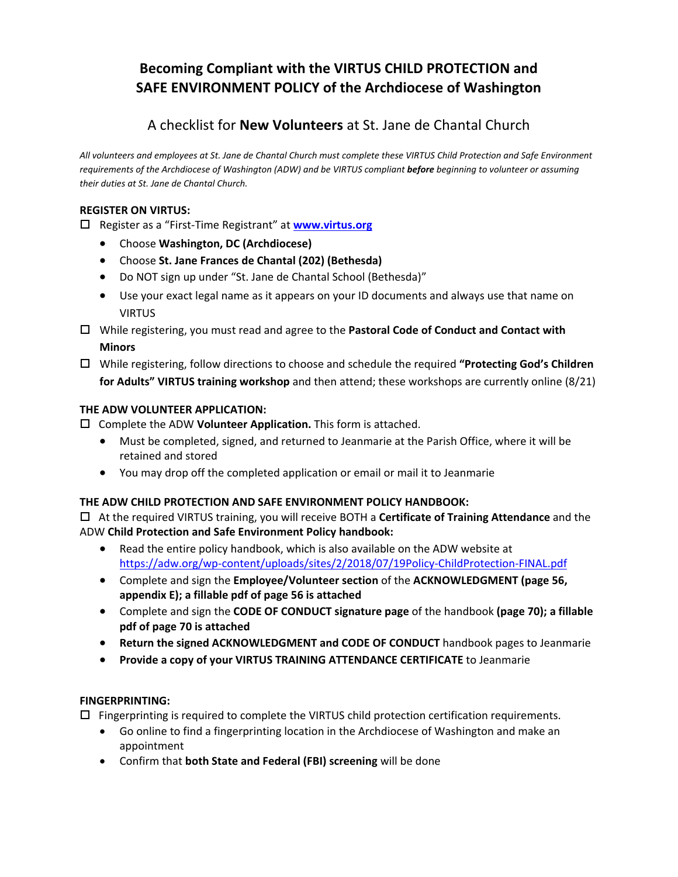# **Becoming Compliant with the VIRTUS CHILD PROTECTION and SAFE ENVIRONMENT POLICY of the Archdiocese of Washington**

# A checklist for **New Volunteers** at St. Jane de Chantal Church

All volunteers and employees at St. Jane de Chantal Church must complete these VIRTUS Child Protection and Safe Environment requirements of the Archdiocese of Washington (ADW) and be VIRTUS compliant before beginning to volunteer or assuming *their duties at St. Jane de Chantal Church.*

### **REGISTER ON VIRTUS:**

Register as a "First‐Time Registrant" at **www.virtus.org**

- Choose **Washington, DC (Archdiocese)**
- Choose **St. Jane Frances de Chantal (202) (Bethesda)**
- Do NOT sign up under "St. Jane de Chantal School (Bethesda)"
- Use your exact legal name as it appears on your ID documents and always use that name on VIRTUS
- While registering, you must read and agree to the **Pastoral Code of Conduct and Contact with Minors**
- While registering, follow directions to choose and schedule the required **"Protecting God's Children for Adults" VIRTUS training workshop** and then attend; these workshops are currently online (8/21)

### **THE ADW VOLUNTEER APPLICATION:**

Complete the ADW **Volunteer Application.** This form is attached.

- Must be completed, signed, and returned to Jeanmarie at the Parish Office, where it will be retained and stored
- You may drop off the completed application or email or mail it to Jeanmarie

#### **THE ADW CHILD PROTECTION AND SAFE ENVIRONMENT POLICY HANDBOOK:**

 At the required VIRTUS training, you will receive BOTH a **Certificate of Training Attendance** and the ADW **Child Protection and Safe Environment Policy handbook:**

- Read the entire policy handbook, which is also available on the ADW website at https://adw.org/wp‐content/uploads/sites/2/2018/07/19Policy‐ChildProtection‐FINAL.pdf
- Complete and sign the **Employee/Volunteer section** of the **ACKNOWLEDGMENT (page 56, appendix E); a fillable pdf of page 56 is attached**
- Complete and sign the **CODE OF CONDUCT signature page** of the handbook **(page 70); a fillable pdf of page 70 is attached**
- **Return the signed ACKNOWLEDGMENT and CODE OF CONDUCT** handbook pages to Jeanmarie
- **Provide a copy of your VIRTUS TRAINING ATTENDANCE CERTIFICATE** to Jeanmarie

#### **FINGERPRINTING:**

 $\Box$  Fingerprinting is required to complete the VIRTUS child protection certification requirements.

- Go online to find a fingerprinting location in the Archdiocese of Washington and make an appointment
- Confirm that **both State and Federal (FBI) screening** will be done